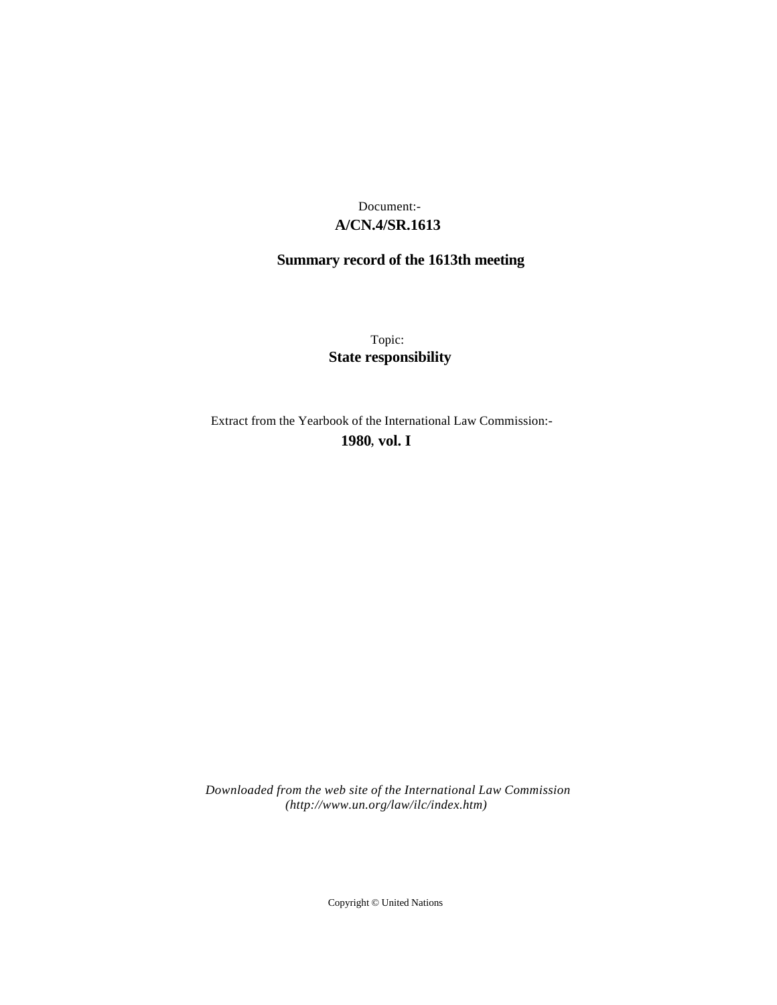## **A/CN.4/SR.1613** Document:-

# **Summary record of the 1613th meeting**

Topic: **State responsibility**

Extract from the Yearbook of the International Law Commission:-

**1980** , **vol. I**

*Downloaded from the web site of the International Law Commission (http://www.un.org/law/ilc/index.htm)*

Copyright © United Nations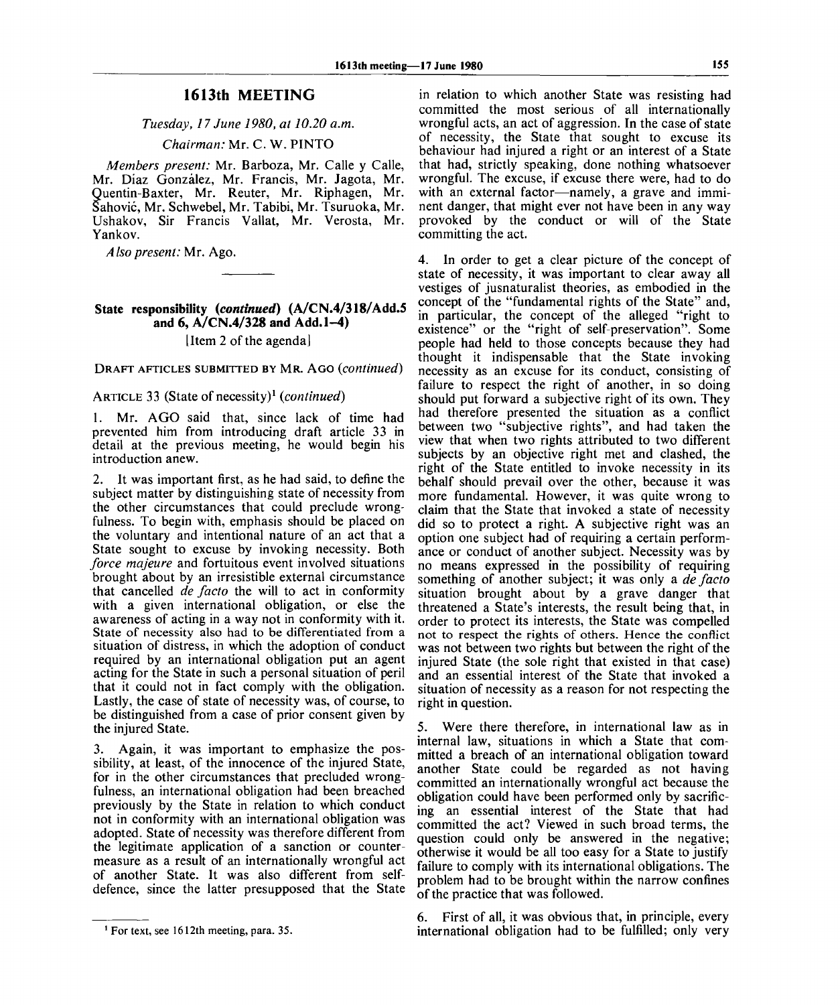### **1613th MEETING**

#### *Tuesday, 17 June 1980, at 10.20 a.m.*

*Chairman:* Mr. C. W. PINTO

*Members present:* Mr. Barboza, Mr. Calle y Calle, Mr. Diaz Gonzalez, Mr. Francis, Mr. Jagota, Mr. Quentin-Baxter, Mr. Reuter, Mr. Riphagen, Mr. Sahovic, Mr. Schwebel, Mr. Tabibi, Mr. Tsuruoka, Mr. Ushakov, Sir Francis Vallat, Mr. Verosta, Mr. Yankov.

*Also present:* Mr. Ago.

#### **State responsibility** *{continued)* **(A/CN.4/318/Add.5 and 6, A/CN.4/328 and Add. 1-4)** [Item 2 of the agenda]

DRAFT AFTICLES SUBMITTED BY MR. AGO *{continued)*

ARTICLE 33 (State of necessity)<sup>,</sup> (*continued*) 1. Mr. AGO said that, since lack of time had prevented him from introducing draft article 33 in detail at the previous meeting, he would begin his introduction anew.

It was important first, as he had said, to define the subject matter by distinguishing state of necessity from the other circumstances that could preclude wrongfulness. To begin with, emphasis should be placed on the voluntary and intentional nature of an act that a State sought to excuse by invoking necessity. Both *force majeure* and fortuitous event involved situations brought about by an irresistible external circumstance that cancelled *de facto* the will to act in conformity with a given international obligation, or else the awareness of acting in a way not in conformity with it. State of necessity also had to be differentiated from a situation of distress, in which the adoption of conduct required by an international obligation put an agent acting for the State in such a personal situation of peril that it could not in fact comply with the obligation. Lastly, the case of state of necessity was, of course, to be distinguished from a case of prior consent given by the injured State.

3. Again, it was important to emphasize the possibility, at least, of the innocence of the injured State, for in the other circumstances that precluded wrongfulness, an international obligation had been breached previously by the State in relation to which conduct not in conformity with an international obligation was adopted. State of necessity was therefore different from the legitimate application of a sanction or countermeasure as a result of an internationally wrongful act of another State. It was also different from selfdefence, since the latter presupposed that the State in relation to which another State was resisting had committed the most serious of all internationally wrongful acts, an act of aggression. In the case of state of necessity, the State that sought to excuse its behaviour had injured a right or an interest of a State that had, strictly speaking, done nothing whatsoever wrongful. The excuse, if excuse there were, had to do with an external factor—namely, a grave and imminent danger, that might ever not have been in any way provoked by the conduct or will of the State committing the act.

4. In order to get a clear picture of the concept of state of necessity, it was important to clear away all vestiges of jusnaturalist theories, as embodied in the concept of the "fundamental rights of the State" and, in particular, the concept of the alleged "right to existence" or the "right of self-preservation". Some people had held to those concepts because they had thought it indispensable that the State invoking necessity as an excuse for its conduct, consisting of failure to respect the right of another, in so doing should put forward a subjective right of its own. They had therefore presented the situation as a conflict between two "subjective rights", and had taken the view that when two rights attributed to two different subjects by an objective right met and clashed, the right of the State entitled to invoke necessity in its behalf should prevail over the other, because it was more fundamental. However, it was quite wrong to claim that the State that invoked a state of necessity did so to protect a right. A subjective right was an option one subject had of requiring a certain performance or conduct of another subject. Necessity was by no means expressed in the possibility of requiring something of another subject; it was only a *de facto* situation brought about by a grave danger that threatened a State's interests, the result being that, in order to protect its interests, the State was compelled not to respect the rights of others. Hence the conflict was not between two rights but between the right of the injured State (the sole right that existed in that case) and an essential interest of the State that invoked a situation of necessity as a reason for not respecting the right in question.

5. Were there therefore, in international law as in internal law, situations in which a State that committed a breach of an international obligation toward another State could be regarded as not having committed an internationally wrongful act because the obligation could have been performed only by sacrificing an essential interest of the State that had committed the act? Viewed in such broad terms, the question could only be answered in the negative; otherwise it would be all too easy for a State to justify failure to comply with its international obligations. The problem had to be brought within the narrow confines of the practice that was followed.

6. First of all, it was obvious that, in principle, every international obligation had to be fulfilled; only very

<sup>&</sup>lt;sup>1</sup> For text, see 1612th meeting, para. 35.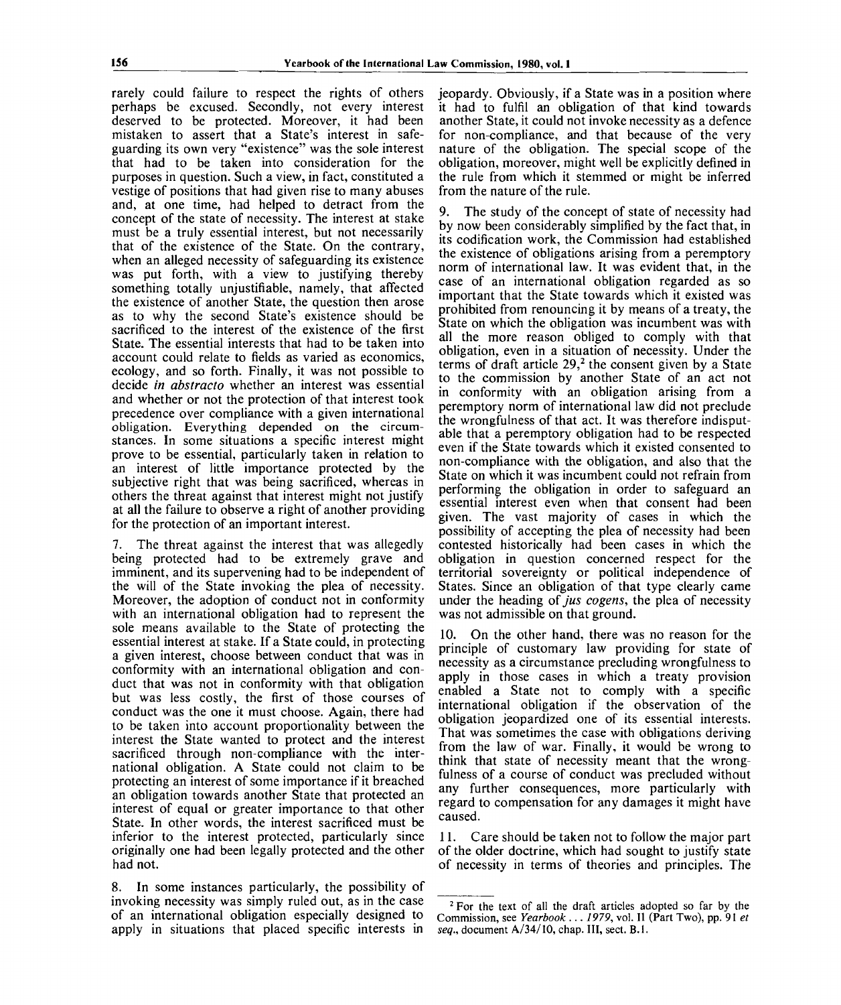rarely could failure to respect the rights of others perhaps be excused. Secondly, not every interest deserved to be protected. Moreover, it had been mistaken to assert that a State's interest in safeguarding its own very "existence" was the sole interest that had to be taken into consideration for the purposes in question. Such a view, in fact, constituted a vestige of positions that had given rise to many abuses and, at one time, had helped to detract from the concept of the state of necessity. The interest at stake must be a truly essential interest, but not necessarily that of the existence of the State. On the contrary, when an alleged necessity of safeguarding its existence was put forth, with a view to justifying thereby something totally unjustifiable, namely, that affected the existence of another State, the question then arose as to why the second State's existence should be sacrificed to the interest of the existence of the first State. The essential interests that had to be taken into account could relate to fields as varied as economics, ecology, and so forth. Finally, it was not possible to decide *in abstracto* whether an interest was essential and whether or not the protection of that interest took precedence over compliance with a given international obligation. Everything depended on the circumstances. In some situations a specific interest might prove to be essential, particularly taken in relation to an interest of little importance protected by the subjective right that was being sacrificed, whereas in others the threat against that interest might not justify at all the failure to observe a right of another providing for the protection of an important interest.

7. The threat against the interest that was allegedly being protected had to be extremely grave and imminent, and its supervening had to be independent of the will of the State invoking the plea of necessity. Moreover, the adoption of conduct not in conformity with an international obligation had to represent the sole means available to the State of protecting the essential interest at stake. If a State could, in protecting a given interest, choose between conduct that was in conformity with an international obligation and conduct that was not in conformity with that obligation but was less costly, the first of those courses of conduct was the one it must choose. Again, there had to be taken into account proportionality between the interest the State wanted to protect and the interest sacrificed through non-compliance with the international obligation. A State could not claim to be protecting an interest of some importance if it breached an obligation towards another State that protected an interest of equal or greater importance to that other State. In other words, the interest sacrificed must be inferior to the interest protected, particularly since originally one had been legally protected and the other had not.

8. In some instances particularly, the possibility of invoking necessity was simply ruled out, as in the case of an international obligation especially designed to apply in situations that placed specific interests in

jeopardy. Obviously, if a State was in a position where it had to fulfil an obligation of that kind towards another State, it could not invoke necessity as a defence for non-compliance, and that because of the very nature of the obligation. The special scope of the obligation, moreover, might well be explicitly defined in the rule from which it stemmed or might be inferred from the nature of the rule.

9. The study of the concept of state of necessity had by now been considerably simplified by the fact that, in its codification work, the Commission had established the existence of obligations arising from a peremptory norm of international law. It was evident that, in the case of an international obligation regarded as so important that the State towards which it existed was prohibited from renouncing it by means of a treaty, the State on which the obligation was incumbent was with all the more reason obliged to comply with that obligation, even in a situation of necessity. Under the terms of draft article  $29<sup>2</sup>$ , the consent given by a State to the commission by another State of an act not in conformity with an obligation arising from a peremptory norm of international law did not preclude the wrongfulness of that act. It was therefore indisputable that a peremptory obligation had to be respected even if the State towards which it existed consented to non-compliance with the obligation, and also that the State on which it was incumbent could not refrain from performing the obligation in order to safeguard an essential interest even when that consent had been given. The vast majority of cases in which the possibility of accepting the plea of necessity had been contested historically had been cases in which the obligation in question concerned respect for the territorial sovereignty or political independence of States. Since an obligation of that type clearly came under the heading of *jus cogens,* the plea of necessity was not admissible on that ground.

10. On the other hand, there was no reason for the principle of customary law providing for state of necessity as a circumstance precluding wrongfulness to apply in those cases in which a treaty provision enabled a State not to comply with a specific international obligation if the observation of the obligation jeopardized one of its essential interests. That was sometimes the case with obligations deriving from the law of war. Finally, it would be wrong to think that state of necessity meant that the wrongfulness of a course of conduct was precluded without any further consequences, more particularly with regard to compensation for any damages it might have caused.

11. Care should be taken not to follow the major part of the older doctrine, which had sought to justify state of necessity in terms of theories and principles. The

<sup>&</sup>lt;sup>2</sup> For the text of all the draft articles adopted so far by the Commission, see *Yearbook ... 1979,* vol. II (Part Two), pp. 91 *et seq.,* document A/34/10, chap. Ill, sect. B.I.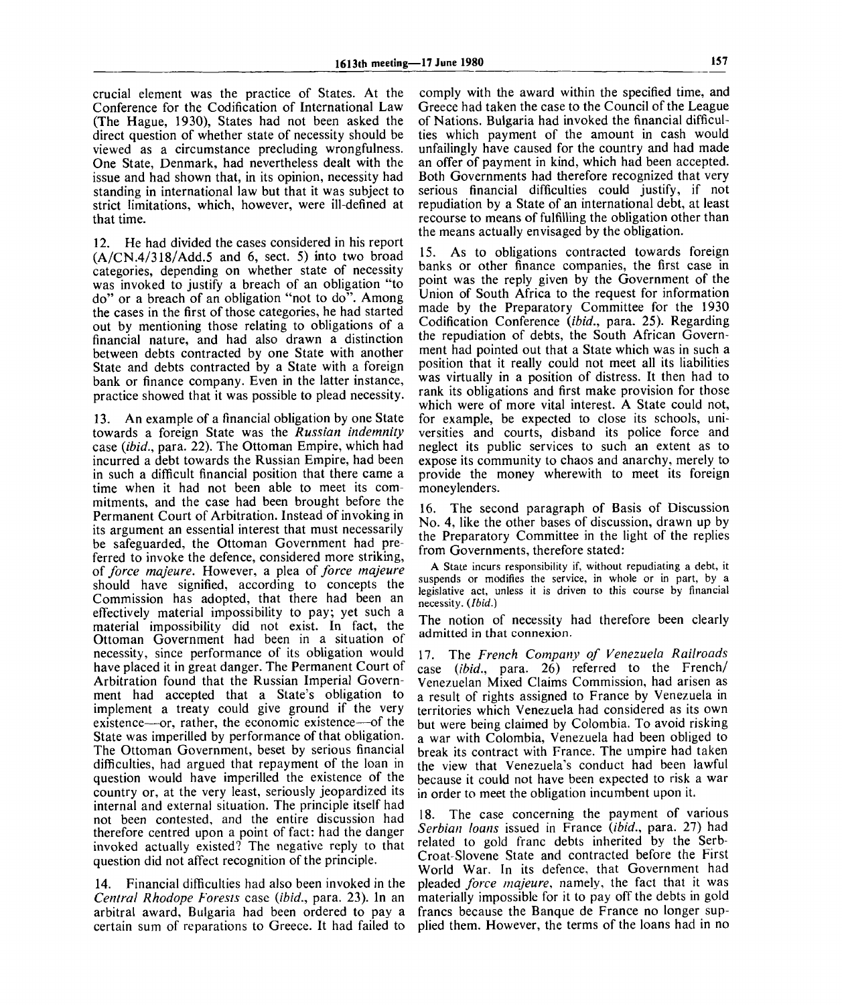crucial element was the practice of States. At the Conference for the Codification of International Law (The Hague, 1930), States had not been asked the direct question of whether state of necessity should be viewed as a circumstance precluding wrongfulness. One State, Denmark, had nevertheless dealt with the issue and had shown that, in its opinion, necessity had standing in international law but that it was subject to strict limitations, which, however, were ill-defined at that time.

12. He had divided the cases considered in his report  $(A/CN.4/318/Add.5$  and 6, sect. 5) into two broad categories, depending on whether state of necessity was invoked to justify a breach of an obligation "to do" or a breach of an obligation "not to do". Among the cases in the first of those categories, he had started out by mentioning those relating to obligations of a financial nature, and had also drawn a distinction between debts contracted by one State with another State and debts contracted by a State with a foreign bank or finance company. Even in the latter instance, practice showed that it was possible to plead necessity.

13. An example of a financial obligation by one State towards a foreign State was the *Russian indemnity* case *(ibid.,* para. 22). The Ottoman Empire, which had incurred a debt towards the Russian Empire, had been in such a difficult financial position that there came a time when it had not been able to meet its commitments, and the case had been brought before the Permanent Court of Arbitration. Instead of invoking in its argument an essential interest that must necessarily be safeguarded, the Ottoman Government had preferred to invoke the defence, considered more striking, *of force majeure.* However, a plea of *force majeure* should have signified, according to concepts the Commission has adopted, that there had been an effectively material impossibility to pay; yet such a material impossibility did not exist. In fact, the Ottoman Government had been in a situation of necessity, since performance of its obligation would have placed it in great danger. The Permanent Court of Arbitration found that the Russian Imperial Government had accepted that a State's obligation to implement a treaty could give ground if the very existence—or, rather, the economic existence—of the State was imperilled by performance of that obligation. The Ottoman Government, beset by serious financial difficulties, had argued that repayment of the loan in question would have imperilled the existence of the country or, at the very least, seriously jeopardized its internal and external situation. The principle itself had not been contested, and the entire discussion had therefore centred upon a point of fact: had the danger invoked actually existed? The negative reply to that question did not affect recognition of the principle.

14. Financial difficulties had also been invoked in the *Central Rhodope Forests* case *(ibid.,* para. 23). In an arbitral award, Bulgaria had been ordered to pay a certain sum of reparations to Greece. It had failed to comply with the award within the specified time, and Greece had taken the case to the Council of the League of Nations. Bulgaria had invoked the financial difficulties which payment of the amount in cash would unfailingly have caused for the country and had made an offer of payment in kind, which had been accepted. Both Governments had therefore recognized that very serious financial difficulties could justify, if not repudiation by a State of an international debt, at least recourse to means of fulfilling the obligation other than the means actually envisaged by the obligation.

15. As to obligations contracted towards foreign banks or other finance companies, the first case in point was the reply given by the Government of the Union of South Africa to the request for information made by the Preparatory Committee for the 1930 Codification Conference *(ibid.,* para. 25). Regarding the repudiation of debts, the South African Government had pointed out that a State which was in such a position that it really could not meet all its liabilities was virtually in a position of distress. It then had to rank its obligations and first make provision for those which were of more vital interest. A State could not, for example, be expected to close its schools, universities and courts, disband its police force and neglect its public services to such an extent as to expose its community to chaos and anarchy, merely to provide the money wherewith to meet its foreign moneylenders.

16. The second paragraph of Basis of Discussion No. 4, like the other bases of discussion, drawn up by the Preparatory Committee in the light of the replies from Governments, therefore stated:

A State incurs responsibility if, without repudiating a debt, it suspends or modifies the service, in whole or in part, by a legislative act, unless it is driven to this course by financial necessity. *(Ibid.)*

The notion of necessity had therefore been clearly admitted in that connexion.

17. The *French Company of Venezuela Railroads* case *(ibid.,* para. 26) referred to the French/ Venezuelan Mixed Claims Commission, had arisen as a result of rights assigned to France by Venezuela in territories which Venezuela had considered as its own but were being claimed by Colombia. To avoid risking a war with Colombia, Venezuela had been obliged to break its contract with France. The umpire had taken the view that Venezuela's conduct had been lawful because it could not have been expected to risk a war in order to meet the obligation incumbent upon it.

18. The case concerning the payment of various *Serbian loans* issued in France *(ibid.,* para. 27) had related to gold franc debts inherited by the Serb-Croat-Slovene State and contracted before the First World War. In its defence, that Government had pleaded *force majeure,* namely, the fact that it was materially impossible for it to pay off the debts in gold francs because the Banque de France no longer supplied them. However, the terms of the loans had in no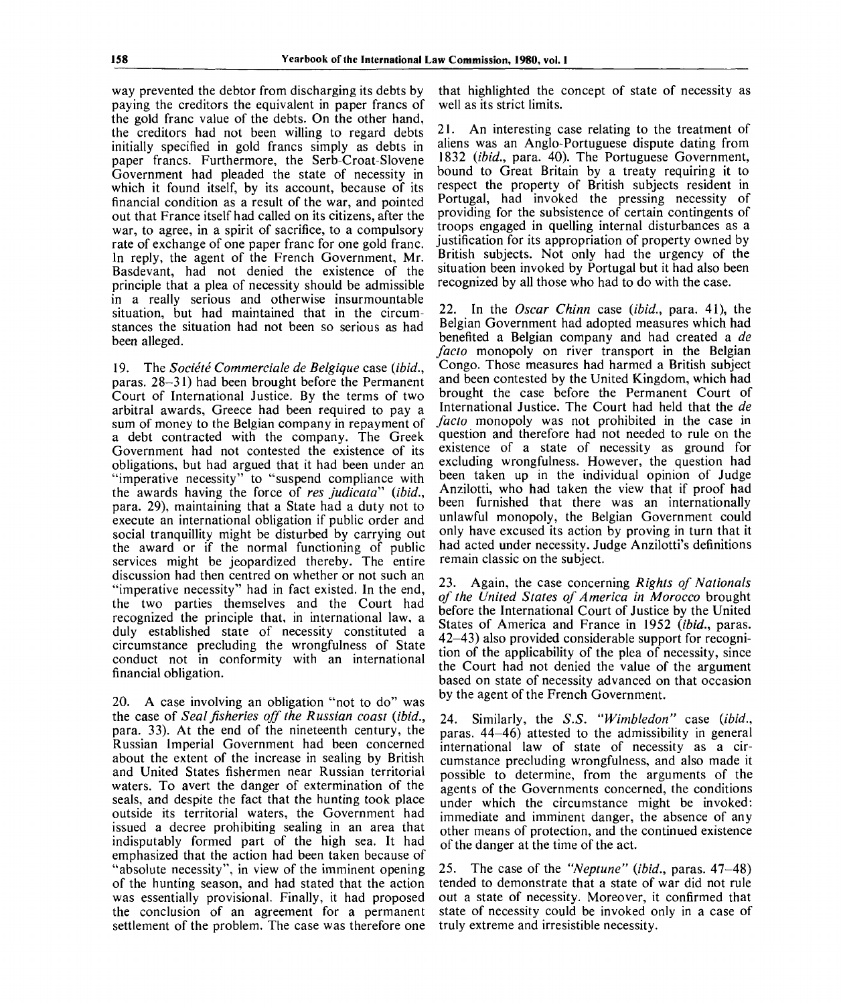way prevented the debtor from discharging its debts by paying the creditors the equivalent in paper francs of the gold franc value of the debts. On the other hand, the creditors had not been willing to regard debts initially specified in gold francs simply as debts in paper francs. Furthermore, the Serb-Croat-Slovene Government had pleaded the state of necessity in which it found itself, by its account, because of its financial condition as a result of the war, and pointed out that France itself had called on its citizens, after the war, to agree, in a spirit of sacrifice, to a compulsory rate of exchange of one paper franc for one gold franc. In reply, the agent of the French Government, Mr. Basdevant, had not denied the existence of the principle that a plea of necessity should be admissible in a really serious and otherwise insurmountable situation, but had maintained that in the circumstances the situation had not been so serious as had been alleged.

19. The *Societe Commerciale de Belgique* case *{ibid.,* paras. 28-31) had been brought before the Permanent Court of International Justice. By the terms of two arbitral awards, Greece had been required to pay a sum of money to the Belgian company in repayment of a debt contracted with the company. The Greek Government had not contested the existence of its obligations, but had argued that it had been under an "imperative necessity" to "suspend compliance with the awards having the force of *res judicata" (ibid.,* para. 29), maintaining that a State had a duty not to execute an international obligation if public order and social tranquillity might be disturbed by carrying out the award or if the normal functioning of public services might be jeopardized thereby. The entire discussion had then centred on whether or not such an "imperative necessity" had in fact existed. In the end, the two parties themselves and the Court had recognized the principle that, in international law, a duly established state of necessity constituted a circumstance precluding the wrongfulness of State conduct not in conformity with an international financial obligation.

20. A case involving an obligation "not to do" was the case of *Seal fisheries off the Russian coast (ibid.,* para. 33). At the end of the nineteenth century, the Russian Imperial Government had been concerned about the extent of the increase in sealing by British and United States fishermen near Russian territorial waters. To avert the danger of extermination of the seals, and despite the fact that the hunting took place outside its territorial waters, the Government had issued a decree prohibiting sealing in an area that indisputably formed part of the high sea. It had emphasized that the action had been taken because of "absolute necessity", in view of the imminent opening of the hunting season, and had stated that the action was essentially provisional. Finally, it had proposed the conclusion of an agreement for a permanent settlement of the problem. The case was therefore one

that highlighted the concept of state of necessity as well as its strict limits.

21. An interesting case relating to the treatment of aliens was an Anglo-Portuguese dispute dating from 1832 *(ibid.,* para. 40). The Portuguese Government, bound to Great Britain by a treaty requiring it to respect the property of British subjects resident in Portugal, had invoked the pressing necessity of providing for the subsistence of certain contingents of troops engaged in quelling internal disturbances as a justification for its appropriation of property owned by British subjects. Not only had the urgency of the situation been invoked by Portugal but it had also been recognized by all those who had to do with the case.

22. In the *Oscar Chinn* case *(ibid.,* para. 41), the Belgian Government had adopted measures which had benefited a Belgian company and had created a *de facto* monopoly on river transport in the Belgian Congo. Those measures had harmed a British subject and been contested by the United Kingdom, which had brought the case before the Permanent Court of International Justice. The Court had held that the *de facto* monopoly was not prohibited in the case in question and therefore had not needed to rule on the existence of a state of necessity as ground for excluding wrongfulness. However, the question had been taken up in the individual opinion of Judge Anzilotti, who had taken the view that if proof had been furnished that there was an internationally unlawful monopoly, the Belgian Government could only have excused its action by proving in turn that it had acted under necessity. Judge Anzilotti's definitions remain classic on the subject.

23. Again, the case concerning *Rights of Nationals of the United States of America in Morocco* brought before the International Court of Justice by the United States of America and France in 1952 *(ibid.,* paras. 42-43) also provided considerable support for recognition of the applicability of the plea of necessity, since the Court had not denied the value of the argument based on state of necessity advanced on that occasion by the agent of the French Government.

24. Similarly, the *S.S. "Wimbledon"* case *(ibid.,* paras. 44-46) attested to the admissibility in general international law of state of necessity as a circumstance precluding wrongfulness, and also made it possible to determine, from the arguments of the agents of the Governments concerned, the conditions under which the circumstance might be invoked: immediate and imminent danger, the absence of any other means of protection, and the continued existence of the danger at the time of the act.

25. The case of the *"Neptune" (ibid.,* paras. 47-48) tended to demonstrate that a state of war did not rule out a state of necessity. Moreover, it confirmed that state of necessity could be invoked only in a case of truly extreme and irresistible necessity.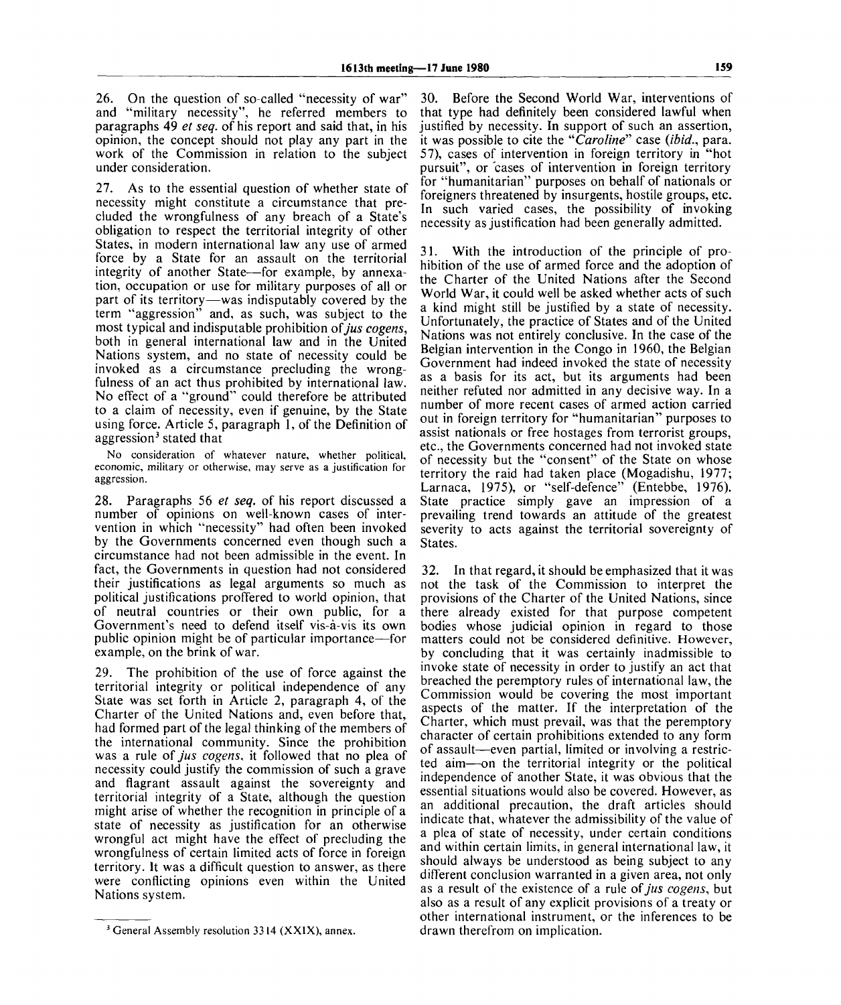26. On the question of so-called "necessity of war" and "military necessity", he referred members to paragraphs 49 *et seq.* of his report and said that, in his opinion, the concept should not play any part in the work of the Commission in relation to the subject under consideration.

27. As to the essential question of whether state of necessity might constitute a circumstance that precluded the wrongfulness of any breach of a State's obligation to respect the territorial integrity of other States, in modern international law any use of armed force by a State for an assault on the territorial integrity of another State—for example, by annexation, occupation or use for military purposes of all or part of its territory—was indisputably covered by the term "aggression" and, as such, was subject to the most typical and indisputable prohibition *of jus cogens,* both in general international law and in the United Nations system, and no state of necessity could be invoked as a circumstance precluding the wrongfulness of an act thus prohibited by international law. No effect of a "ground" could therefore be attributed to a claim of necessity, even if genuine, by the State using force. Article 5, paragraph 1, of the Definition of asing force. Afficiently,<br>aggression<sup>3</sup> stated that

No consideration of whatever nature, whether political, economic, military or otherwise, may serve as a justification for aggression.

28. Paragraphs 56 *et seq.* of his report discussed a number of opinions on well-known cases of intervention in which "necessity" had often been invoked by the Governments concerned even though such a circumstance had not been admissible in the event. In fact, the Governments in question had not considered their justifications as legal arguments so much as political justifications proffered to world opinion, that of neutral countries or their own public, for a Government's need to defend itself vis-a-vis its own public opinion might be of particular importance—for example, on the brink of war.

29. The prohibition of the use of force against the territorial integrity or political independence of any State was set forth in Article 2, paragraph 4, of the Charter of the United Nations and, even before that, had formed part of the legal thinking of the members of the international community. Since the prohibition was a rule *of jus cogens,* it followed that no plea of necessity could justify the commission of such a grave and flagrant assault against the sovereignty and territorial integrity of a State, although the question might arise of whether the recognition in principle of a state of necessity as justification for an otherwise wrongful act might have the effect of precluding the wrongfulness of certain limited acts of force in foreign territory. It was a difficult question to answer, as there were conflicting opinions even within the United Nations system.

30. Before the Second World War, interventions of that type had definitely been considered lawful when justified by necessity. In support of such an assertion, it was possible to cite the *"Caroline"* case *(ibid.,* para. 57), cases of intervention in foreign territory in "hot pursuit", or cases of intervention in foreign territory for "humanitarian" purposes on behalf of nationals or foreigners threatened by insurgents, hostile groups, etc. In such varied cases, the possibility of invoking necessity as justification had been generally admitted.

31. With the introduction of the principle of prohibition of the use of armed force and the adoption of the Charter of the United Nations after the Second World War, it could well be asked whether acts of such a kind might still be justified by a state of necessity. Unfortunately, the practice of States and of the United Nations was not entirely conclusive. In the case of the Belgian intervention in the Congo in 1960, the Belgian Government had indeed invoked the state of necessity as a basis for its act, but its arguments had been neither refuted nor admitted in any decisive way. In a number of more recent cases of armed action carried out in foreign territory for "humanitarian" purposes to assist nationals or free hostages from terrorist groups, etc., the Governments concerned had not invoked state of necessity but the "consent" of the State on whose territory the raid had taken place (Mogadishu, 1977; Larnaca, 1975), or "self-defence" (Entebbe, 1976). State practice simply gave an impression of a prevailing trend towards an attitude of the greatest severity to acts against the territorial sovereignty of States.

32. In that regard, it should be emphasized that it was not the task of the Commission to interpret the provisions of the Charter of the United Nations, since there already existed for that purpose competent bodies whose judicial opinion in regard to those matters could not be considered definitive. However, by concluding that it was certainly inadmissible to invoke state of necessity in order to justify an act that breached the peremptory rules of international law, the Commission would be covering the most important aspects of the matter. If the interpretation of the Charter, which must prevail, was that the peremptory character of certain prohibitions extended to any form of assault—even partial, limited or involving a restricted aim—on the territorial integrity or the political independence of another State, it was obvious that the essential situations would also be covered. However, as an additional precaution, the draft articles should indicate that, whatever the admissibility of the value of a plea of state of necessity, under certain conditions and within certain limits, in general international law, it should always be understood as being subject to any different conclusion warranted in a given area, not only as a result of the existence of a rule *of jus cogens,* but also as a result of any explicit provisions of a treaty or other international instrument, or the inferences to be drawn therefrom on implication.

<sup>&</sup>lt;sup>3</sup> General Assembly resolution 3314 (XXIX), annex.